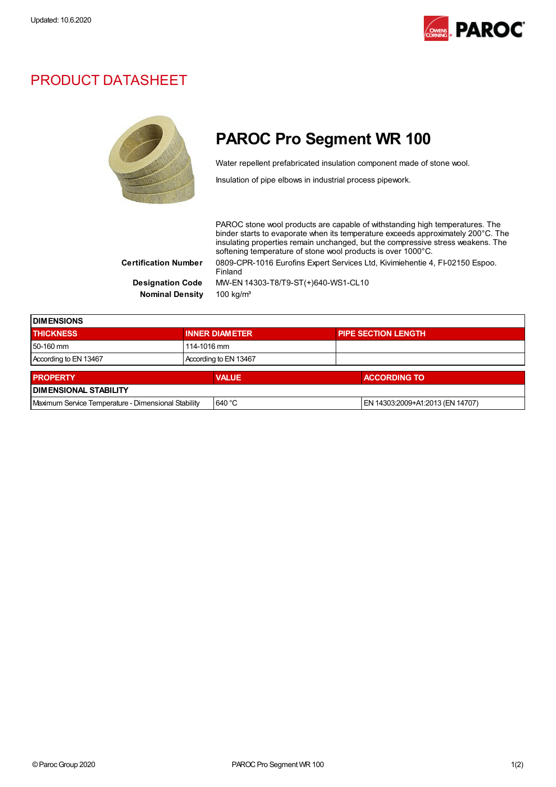

## PRODUCT DATASHEET



## PAROC Pro Segment WR 100

Water repellent prefabricated insulation component made of stone wool.

Insulation of pipe elbows in industrial process pipework.

PAROC stone wool products are capable of withstanding high temperatures. The binder starts to evaporate when its temperature exceeds approximately 200°C. The insulating properties remain unchanged, but the compressive stress weakens. The softening temperature of stone wool products is over 1000°C. Certification Number 0809-CPR-1016 Eurofins Expert Services Ltd, Kivimiehentie 4, FI-02150 Espoo. Finland Designation Code MW-EN 14303-T8/T9-ST(+)640-WS1-CL10 Nominal Density 100 kg/m<sup>3</sup>

| <b>DIMENSIONS</b>                                   |  |                       |  |                                  |  |
|-----------------------------------------------------|--|-----------------------|--|----------------------------------|--|
| <b>THICKNESS</b>                                    |  | <b>INNER DIAMETER</b> |  | <b>PIPE SECTION LENGTH</b>       |  |
| 50-160 mm                                           |  | 114-1016 mm           |  |                                  |  |
| According to EN 13467                               |  | According to EN 13467 |  |                                  |  |
| <b>PROPERTY</b>                                     |  | <b>VALUE</b>          |  | <b>ACCORDING TO</b>              |  |
| <b>DIMENSIONAL STABILITY</b>                        |  |                       |  |                                  |  |
| Maximum Service Temperature - Dimensional Stability |  | 640 °C                |  | EN 14303:2009+A1:2013 (EN 14707) |  |